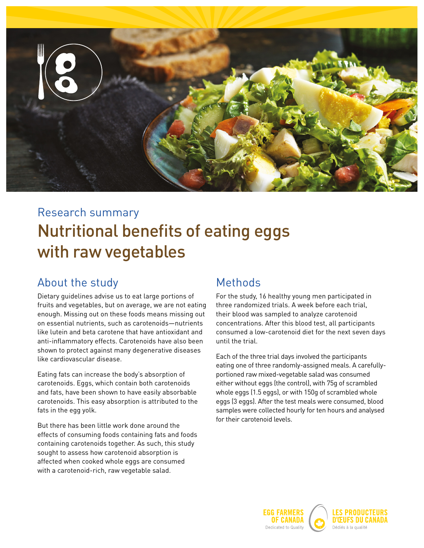

# Nutritional benefits of eating eggs with raw vegetables Research summary

#### About the study

Dietary guidelines advise us to eat large portions of fruits and vegetables, but on average, we are not eating enough. Missing out on these foods means missing out on essential nutrients, such as carotenoids—nutrients like lutein and beta carotene that have antioxidant and anti-inflammatory effects. Carotenoids have also been shown to protect against many degenerative diseases like cardiovascular disease.

Eating fats can increase the body's absorption of carotenoids. Eggs, which contain both carotenoids and fats, have been shown to have easily absorbable carotenoids. This easy absorption is attributed to the fats in the egg yolk.

But there has been little work done around the effects of consuming foods containing fats and foods containing carotenoids together. As such, this study sought to assess how carotenoid absorption is affected when cooked whole eggs are consumed with a carotenoid-rich, raw vegetable salad.

#### Methods

For the study, 16 healthy young men participated in three randomized trials. A week before each trial, their blood was sampled to analyze carotenoid concentrations. After this blood test, all participants consumed a low-carotenoid diet for the next seven days until the trial.

Each of the three trial days involved the participants eating one of three randomly-assigned meals. A carefullyportioned raw mixed-vegetable salad was consumed either without eggs (the control), with 75g of scrambled whole eggs (1.5 eggs), or with 150g of scrambled whole eggs (3 eggs). After the test meals were consumed, blood samples were collected hourly for ten hours and analysed for their carotenoid levels.